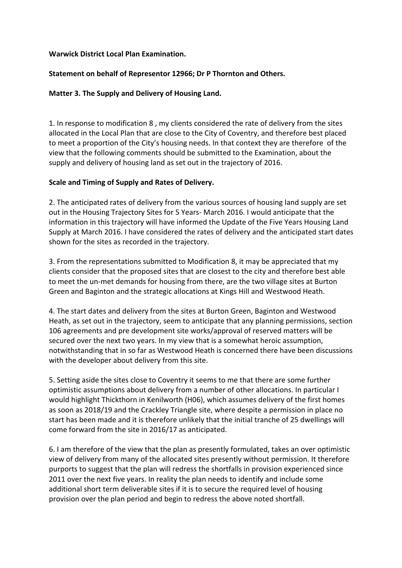## **Warwick District Local Plan Examination.**

# **Statement on behalf of Representor 12966; Dr P Thornton and Others.**

# **Matter 3. The Supply and Delivery of Housing Land.**

1. In response to modification 8, my clients considered the rate of delivery from the sites allocated in the Local Plan that are close to the City of Coventry, and therefore best placed to meet a proportion of the City's housing needs. In that context they are therefore of the view that the following comments should be submitted to the Examination, about the supply and delivery of housing land as set out in the trajectory of 2016.

## **Scale and Timing of Supply and Rates of Delivery.**

2. The anticipated rates of delivery from the various sources of housing land supply are set out in the Housing Trajectory Sites for 5 Years- March 2016. I would anticipate that the information in this trajectory will have informed the Update of the Five Years Housing Land Supply at March 2016. I have considered the rates of delivery and the anticipated start dates shown for the sites as recorded in the trajectory.

3. From the representations submitted to Modification 8, it may be appreciated that my clients consider that the proposed sites that are closest to the city and therefore best able to meet the un-met demands for housing from there, are the two village sites at Burton Green and Baginton and the strategic allocations at Kings Hill and Westwood Heath.

4. The start dates and delivery from the sites at Burton Green, Baginton and Westwood Heath, as set out in the trajectory, seem to anticipate that any planning permissions, section 106 agreements and pre development site works/approval of reserved matters will be secured over the next two years. In my view that is a somewhat heroic assumption, notwithstanding that in so far as Westwood Heath is concerned there have been discussions with the developer about delivery from this site.

5. Setting aside the sites close to Coventry it seems to me that there are some further optimistic assumptions about delivery from a number of other allocations. In particular I would highlight Thickthorn in Kenilworth (H06), which assumes delivery of the first homes as soon as 2018/19 and the Crackley Triangle site, where despite a permission in place no start has been made and it is therefore unlikely that the initial tranche of 25 dwellings will come forward from the site in 2016/17 as anticipated.

6. I am therefore of the view that the plan as presently formulated, takes an over optimistic view of delivery from many of the allocated sites presently without permission. It therefore purports to suggest that the plan will redress the shortfalls in provision experienced since 2011 over the next five years. In reality the plan needs to identify and include some additional short term deliverable sites if it is to secure the required level of housing provision over the plan period and begin to redress the above noted shortfall.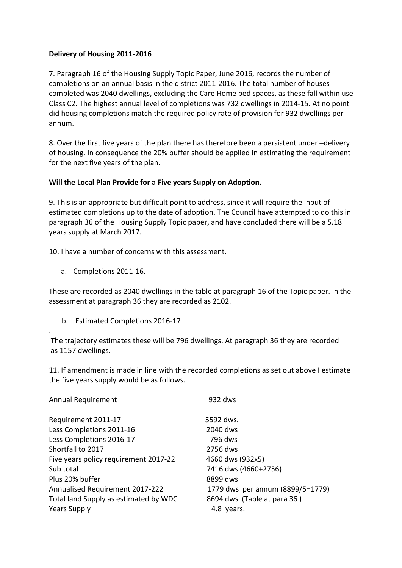# **Delivery of Housing 2011-2016**

7. Paragraph 16 of the Housing Supply Topic Paper, June 2016, records the number of completions on an annual basis in the district 2011-2016. The total number of houses completed was 2040 dwellings, excluding the Care Home bed spaces, as these fall within use Class C2. The highest annual level of completions was 732 dwellings in 2014-15. At no point did housing completions match the required policy rate of provision for 932 dwellings per annum.

8. Over the first five years of the plan there has therefore been a persistent under -delivery of housing. In consequence the 20% buffer should be applied in estimating the requirement for the next five years of the plan.

## Will the Local Plan Provide for a Five years Supply on Adoption.

9. This is an appropriate but difficult point to address, since it will require the input of estimated completions up to the date of adoption. The Council have attempted to do this in paragraph 36 of the Housing Supply Topic paper, and have concluded there will be a 5.18 years supply at March 2017.

10. I have a number of concerns with this assessment.

a. Completions 2011-16.

.

These are recorded as 2040 dwellings in the table at paragraph 16 of the Topic paper. In the assessment at paragraph 36 they are recorded as 2102.

b. Estimated Completions 2016-17

The trajectory estimates these will be 796 dwellings. At paragraph 36 they are recorded as 1157 dwellings.

11. If amendment is made in line with the recorded completions as set out above I estimate the five years supply would be as follows.

| <b>Annual Requirement</b>              | 932 dws                          |
|----------------------------------------|----------------------------------|
| Requirement 2011-17                    | 5592 dws.                        |
| Less Completions 2011-16               | 2040 dws                         |
| Less Completions 2016-17               | 796 dws                          |
| Shortfall to 2017                      | 2756 dws                         |
| Five years policy requirement 2017-22  | 4660 dws (932x5)                 |
| Sub total                              | 7416 dws (4660+2756)             |
| Plus 20% buffer                        | 8899 dws                         |
| <b>Annualised Requirement 2017-222</b> | 1779 dws per annum (8899/5=1779) |
| Total land Supply as estimated by WDC  | 8694 dws (Table at para 36)      |
| <b>Years Supply</b>                    | 4.8 years.                       |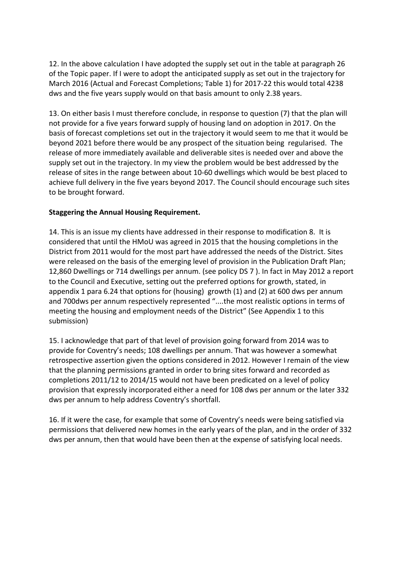12. In the above calculation I have adopted the supply set out in the table at paragraph 26 of the Topic paper. If I were to adopt the anticipated supply as set out in the trajectory for March 2016 (Actual and Forecast Completions; Table 1) for 2017-22 this would total 4238 dws and the five years supply would on that basis amount to only 2.38 years.

13. On either basis I must therefore conclude, in response to question (7) that the plan will not provide for a five years forward supply of housing land on adoption in 2017. On the basis of forecast completions set out in the trajectory it would seem to me that it would be beyond 2021 before there would be any prospect of the situation being regularised. The release of more immediately available and deliverable sites is needed over and above the supply set out in the trajectory. In my view the problem would be best addressed by the release of sites in the range between about 10-60 dwellings which would be best placed to achieve full delivery in the five years beyond 2017. The Council should encourage such sites to be brought forward.

# **Staggering the Annual Housing Requirement.**

14. This is an issue my clients have addressed in their response to modification 8. It is considered that until the HMoU was agreed in 2015 that the housing completions in the District from 2011 would for the most part have addressed the needs of the District. Sites were released on the basis of the emerging level of provision in the Publication Draft Plan; 12,860 Dwellings or 714 dwellings per annum. (see policy DS 7). In fact in May 2012 a report to the Council and Executive, setting out the preferred options for growth, stated, in appendix 1 para 6.24 that options for (housing) growth  $(1)$  and  $(2)$  at 600 dws per annum and 700dws per annum respectively represented "....the most realistic options in terms of meeting the housing and employment needs of the District" (See Appendix 1 to this submission)

15. I acknowledge that part of that level of provision going forward from 2014 was to provide for Coventry's needs; 108 dwellings per annum. That was however a somewhat retrospective assertion given the options considered in 2012. However I remain of the view that the planning permissions granted in order to bring sites forward and recorded as completions 2011/12 to 2014/15 would not have been predicated on a level of policy provision that expressly incorporated either a need for 108 dws per annum or the later 332 dws per annum to help address Coventry's shortfall.

16. If it were the case, for example that some of Coventry's needs were being satisfied via permissions that delivered new homes in the early years of the plan, and in the order of 332 dws per annum, then that would have been then at the expense of satisfying local needs.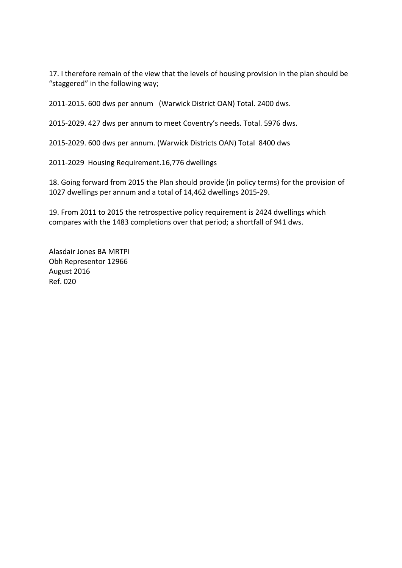17. I therefore remain of the view that the levels of housing provision in the plan should be "staggered" in the following way;

2011-2015. 600 dws per annum (Warwick District OAN) Total. 2400 dws.

2015-2029. 427 dws per annum to meet Coventry's needs. Total. 5976 dws.

2015-2029. 600 dws per annum. (Warwick Districts OAN) Total 8400 dws

2011-2029 Housing Requirement.16,776 dwellings

18. Going forward from 2015 the Plan should provide (in policy terms) for the provision of 1027 dwellings per annum and a total of 14,462 dwellings 2015-29.

19. From 2011 to 2015 the retrospective policy requirement is 2424 dwellings which compares with the 1483 completions over that period; a shortfall of 941 dws.

Alasdair Jones BA MRTPI Obh Representor 12966 August 2016 Ref. 020